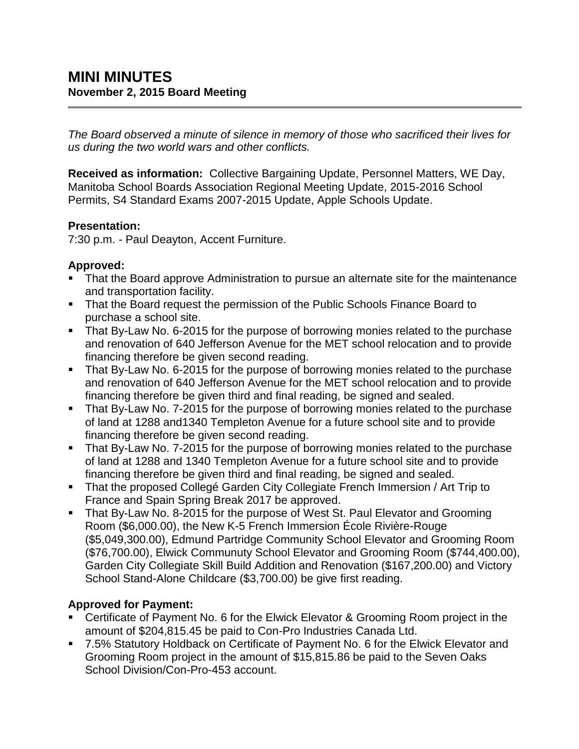*The Board observed a minute of silence in memory of those who sacrificed their lives for us during the two world wars and other conflicts.*

**Received as information:** Collective Bargaining Update, Personnel Matters, WE Day, Manitoba School Boards Association Regional Meeting Update, 2015-2016 School Permits, S4 Standard Exams 2007-2015 Update, Apple Schools Update.

### **Presentation:**

7:30 p.m. - Paul Deayton, Accent Furniture.

## **Approved:**

- That the Board approve Administration to pursue an alternate site for the maintenance and transportation facility.
- That the Board request the permission of the Public Schools Finance Board to purchase a school site.
- That By-Law No. 6-2015 for the purpose of borrowing monies related to the purchase and renovation of 640 Jefferson Avenue for the MET school relocation and to provide financing therefore be given second reading.
- That By-Law No. 6-2015 for the purpose of borrowing monies related to the purchase and renovation of 640 Jefferson Avenue for the MET school relocation and to provide financing therefore be given third and final reading, be signed and sealed.
- That By-Law No. 7-2015 for the purpose of borrowing monies related to the purchase of land at 1288 and1340 Templeton Avenue for a future school site and to provide financing therefore be given second reading.
- That By-Law No. 7-2015 for the purpose of borrowing monies related to the purchase of land at 1288 and 1340 Templeton Avenue for a future school site and to provide financing therefore be given third and final reading, be signed and sealed.
- That the proposed Collegé Garden City Collegiate French Immersion / Art Trip to France and Spain Spring Break 2017 be approved.
- That By-Law No. 8-2015 for the purpose of West St. Paul Elevator and Grooming Room (\$6,000.00), the New K-5 French Immersion École Rivière-Rouge (\$5,049,300.00), Edmund Partridge Community School Elevator and Grooming Room (\$76,700.00), Elwick Communuty School Elevator and Grooming Room (\$744,400.00), Garden City Collegiate Skill Build Addition and Renovation (\$167,200.00) and Victory School Stand-Alone Childcare (\$3,700.00) be give first reading.

# **Approved for Payment:**

- Certificate of Payment No. 6 for the Elwick Elevator & Grooming Room project in the amount of \$204,815.45 be paid to Con-Pro Industries Canada Ltd.
- 7.5% Statutory Holdback on Certificate of Payment No. 6 for the Elwick Elevator and Grooming Room project in the amount of \$15,815.86 be paid to the Seven Oaks School Division/Con-Pro-453 account.